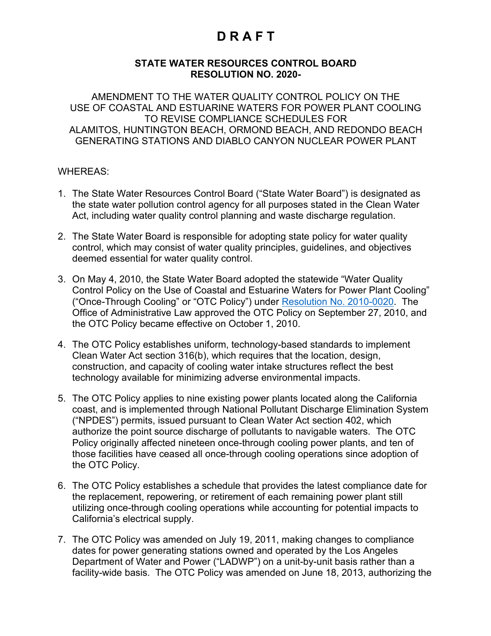#### **STATE WATER RESOURCES CONTROL BOARD RESOLUTION NO. 2020-**

AMENDMENT TO THE WATER QUALITY CONTROL POLICY ON THE USE OF COASTAL AND ESTUARINE WATERS FOR POWER PLANT COOLING TO REVISE COMPLIANCE SCHEDULES FOR ALAMITOS, HUNTINGTON BEACH, ORMOND BEACH, AND REDONDO BEACH GENERATING STATIONS AND DIABLO CANYON NUCLEAR POWER PLANT

#### WHEREAS:

- 1. The State Water Resources Control Board ("State Water Board") is designated as the state water pollution control agency for all purposes stated in the Clean Water Act, including water quality control planning and waste discharge regulation.
- 2. The State Water Board is responsible for adopting state policy for water quality control, which may consist of water quality principles, guidelines, and objectives deemed essential for water quality control.
- 3. On May 4, 2010, the State Water Board adopted the statewide "Water Quality Control Policy on the Use of Coastal and Estuarine Waters for Power Plant Cooling" ("Once-Through Cooling" or "OTC Policy") under [Resolution No. 2010-0020](https://www.waterboards.ca.gov/board_decisions/adopted_orders/resolutions/2010/rs2010_0020.pdf). The Office of Administrative Law approved the OTC Policy on September 27, 2010, and the OTC Policy became effective on October 1, 2010.
- 4. The OTC Policy establishes uniform, technology-based standards to implement Clean Water Act section 316(b), which requires that the location, design, construction, and capacity of cooling water intake structures reflect the best technology available for minimizing adverse environmental impacts.
- 5. The OTC Policy applies to nine existing power plants located along the California coast, and is implemented through National Pollutant Discharge Elimination System ("NPDES") permits, issued pursuant to Clean Water Act section 402, which authorize the point source discharge of pollutants to navigable waters. The OTC Policy originally affected nineteen once-through cooling power plants, and ten of those facilities have ceased all once-through cooling operations since adoption of the OTC Policy.
- 6. The OTC Policy establishes a schedule that provides the latest compliance date for the replacement, repowering, or retirement of each remaining power plant still utilizing once-through cooling operations while accounting for potential impacts to California's electrical supply.
- 7. The OTC Policy was amended on July 19, 2011, making changes to compliance dates for power generating stations owned and operated by the Los Angeles Department of Water and Power ("LADWP") on a unit-by-unit basis rather than a facility-wide basis. The OTC Policy was amended on June 18, 2013, authorizing the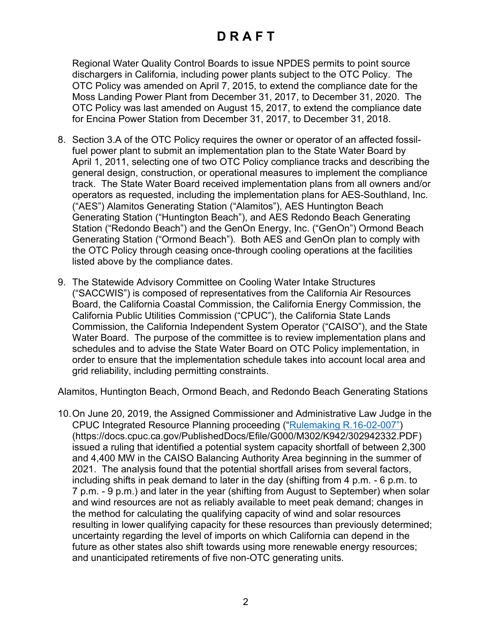Regional Water Quality Control Boards to issue NPDES permits to point source dischargers in California, including power plants subject to the OTC Policy. The OTC Policy was amended on April 7, 2015, to extend the compliance date for the Moss Landing Power Plant from December 31, 2017, to December 31, 2020. The OTC Policy was last amended on August 15, 2017, to extend the compliance date for Encina Power Station from December 31, 2017, to December 31, 2018.

- 8. Section 3.A of the OTC Policy requires the owner or operator of an affected fossilfuel power plant to submit an implementation plan to the State Water Board by April 1, 2011, selecting one of two OTC Policy compliance tracks and describing the general design, construction, or operational measures to implement the compliance track. The State Water Board received implementation plans from all owners and/or operators as requested, including the implementation plans for AES-Southland, Inc. ("AES") Alamitos Generating Station ("Alamitos"), AES Huntington Beach Generating Station ("Huntington Beach"), and AES Redondo Beach Generating Station ("Redondo Beach") and the GenOn Energy, Inc. ("GenOn") Ormond Beach Generating Station ("Ormond Beach"). Both AES and GenOn plan to comply with the OTC Policy through ceasing once-through cooling operations at the facilities listed above by the compliance dates.
- 9. The Statewide Advisory Committee on Cooling Water Intake Structures ("SACCWIS") is composed of representatives from the California Air Resources Board, the California Coastal Commission, the California Energy Commission, the California Public Utilities Commission ("CPUC"), the California State Lands Commission, the California Independent System Operator ("CAISO"), and the State Water Board. The purpose of the committee is to review implementation plans and schedules and to advise the State Water Board on OTC Policy implementation, in order to ensure that the implementation schedule takes into account local area and grid reliability, including permitting constraints.

Alamitos, Huntington Beach, Ormond Beach, and Redondo Beach Generating Stations

10.On June 20, 2019, the Assigned Commissioner and Administrative Law Judge in the CPUC Integrated Resource Planning proceeding (["Rulemaking R.16-02-007"\)](http://docs.cpuc.ca.gov/PublishedDocs/Efile/G000/M302/K942/302942332.PDF) (https://docs.cpuc.ca.gov/PublishedDocs/Efile/G000/M302/K942/302942332.PDF) issued a ruling that identified a potential system capacity shortfall of between 2,300 and 4,400 MW in the CAISO Balancing Authority Area beginning in the summer of 2021. The analysis found that the potential shortfall arises from several factors, including shifts in peak demand to later in the day (shifting from 4 p.m. - 6 p.m. to 7 p.m. - 9 p.m.) and later in the year (shifting from August to September) when solar and wind resources are not as reliably available to meet peak demand; changes in the method for calculating the qualifying capacity of wind and solar resources resulting in lower qualifying capacity for these resources than previously determined; uncertainty regarding the level of imports on which California can depend in the future as other states also shift towards using more renewable energy resources; and unanticipated retirements of five non-OTC generating units.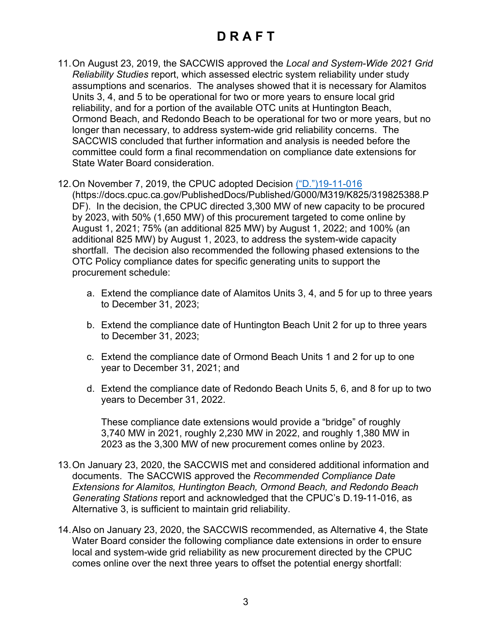- 11.On August 23, 2019, the SACCWIS approved the *Local and System-Wide 2021 Grid Reliability Studies* report, which assessed electric system reliability under study assumptions and scenarios. The analyses showed that it is necessary for Alamitos Units 3, 4, and 5 to be operational for two or more years to ensure local grid reliability, and for a portion of the available OTC units at Huntington Beach, Ormond Beach, and Redondo Beach to be operational for two or more years, but no longer than necessary, to address system-wide grid reliability concerns. The SACCWIS concluded that further information and analysis is needed before the committee could form a final recommendation on compliance date extensions for State Water Board consideration.
- 12.On November 7, 2019, the CPUC adopted Decision [\("D."\)19-11-016](http://docs.cpuc.ca.gov/PublishedDocs/Published/G000/M319/K825/319825388.PDF) (https://docs.cpuc.ca.gov/PublishedDocs/Published/G000/M319/K825/319825388.P DF). In the decision, the CPUC directed 3,300 MW of new capacity to be procured by 2023, with 50% (1,650 MW) of this procurement targeted to come online by August 1, 2021; 75% (an additional 825 MW) by August 1, 2022; and 100% (an additional 825 MW) by August 1, 2023, to address the system-wide capacity shortfall. The decision also recommended the following phased extensions to the OTC Policy compliance dates for specific generating units to support the procurement schedule:
	- a. Extend the compliance date of Alamitos Units 3, 4, and 5 for up to three years to December 31, 2023;
	- b. Extend the compliance date of Huntington Beach Unit 2 for up to three years to December 31, 2023;
	- c. Extend the compliance date of Ormond Beach Units 1 and 2 for up to one year to December 31, 2021; and
	- d. Extend the compliance date of Redondo Beach Units 5, 6, and 8 for up to two years to December 31, 2022.

These compliance date extensions would provide a "bridge" of roughly 3,740 MW in 2021, roughly 2,230 MW in 2022, and roughly 1,380 MW in 2023 as the 3,300 MW of new procurement comes online by 2023.

- 13.On January 23, 2020, the SACCWIS met and considered additional information and documents. The SACCWIS approved the *Recommended Compliance Date Extensions for Alamitos, Huntington Beach, Ormond Beach, and Redondo Beach Generating Stations* report and acknowledged that the CPUC's D.19-11-016, as Alternative 3, is sufficient to maintain grid reliability.
- 14.Also on January 23, 2020, the SACCWIS recommended, as Alternative 4, the State Water Board consider the following compliance date extensions in order to ensure local and system-wide grid reliability as new procurement directed by the CPUC comes online over the next three years to offset the potential energy shortfall: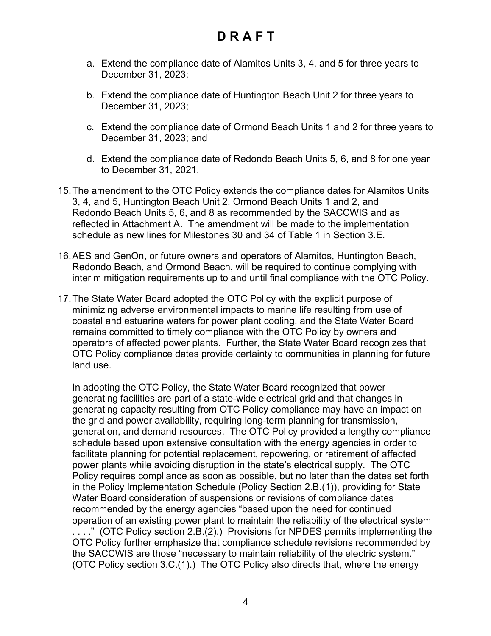- a. Extend the compliance date of Alamitos Units 3, 4, and 5 for three years to December 31, 2023;
- b. Extend the compliance date of Huntington Beach Unit 2 for three years to December 31, 2023;
- c. Extend the compliance date of Ormond Beach Units 1 and 2 for three years to December 31, 2023; and
- d. Extend the compliance date of Redondo Beach Units 5, 6, and 8 for one year to December 31, 2021.
- 15.The amendment to the OTC Policy extends the compliance dates for Alamitos Units 3, 4, and 5, Huntington Beach Unit 2, Ormond Beach Units 1 and 2, and Redondo Beach Units 5, 6, and 8 as recommended by the SACCWIS and as reflected in Attachment A. The amendment will be made to the implementation schedule as new lines for Milestones 30 and 34 of Table 1 in Section 3.E.
- 16.AES and GenOn, or future owners and operators of Alamitos, Huntington Beach, Redondo Beach, and Ormond Beach, will be required to continue complying with interim mitigation requirements up to and until final compliance with the OTC Policy.
- 17.The State Water Board adopted the OTC Policy with the explicit purpose of minimizing adverse environmental impacts to marine life resulting from use of coastal and estuarine waters for power plant cooling, and the State Water Board remains committed to timely compliance with the OTC Policy by owners and operators of affected power plants. Further, the State Water Board recognizes that OTC Policy compliance dates provide certainty to communities in planning for future land use.

In adopting the OTC Policy, the State Water Board recognized that power generating facilities are part of a state-wide electrical grid and that changes in generating capacity resulting from OTC Policy compliance may have an impact on the grid and power availability, requiring long-term planning for transmission, generation, and demand resources. The OTC Policy provided a lengthy compliance schedule based upon extensive consultation with the energy agencies in order to facilitate planning for potential replacement, repowering, or retirement of affected power plants while avoiding disruption in the state's electrical supply. The OTC Policy requires compliance as soon as possible, but no later than the dates set forth in the Policy Implementation Schedule (Policy Section 2.B.(1)), providing for State Water Board consideration of suspensions or revisions of compliance dates recommended by the energy agencies "based upon the need for continued operation of an existing power plant to maintain the reliability of the electrical system . . . ." (OTC Policy section 2.B.(2).) Provisions for NPDES permits implementing the OTC Policy further emphasize that compliance schedule revisions recommended by the SACCWIS are those "necessary to maintain reliability of the electric system." (OTC Policy section 3.C.(1).) The OTC Policy also directs that, where the energy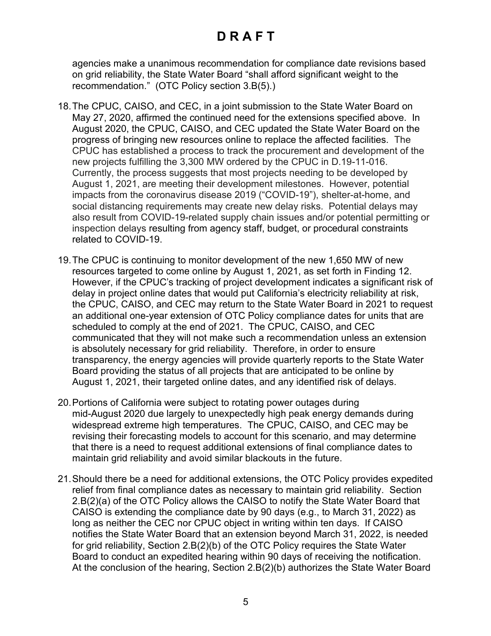agencies make a unanimous recommendation for compliance date revisions based on grid reliability, the State Water Board "shall afford significant weight to the recommendation." (OTC Policy section 3.B(5).)

- 18.The CPUC, CAISO, and CEC, in a joint submission to the State Water Board on May 27, 2020, affirmed the continued need for the extensions specified above. In August 2020, the CPUC, CAISO, and CEC updated the State Water Board on the progress of bringing new resources online to replace the affected facilities. The CPUC has established a process to track the procurement and development of the new projects fulfilling the 3,300 MW ordered by the CPUC in D.19-11-016. Currently, the process suggests that most projects needing to be developed by August 1, 2021, are meeting their development milestones. However, potential impacts from the coronavirus disease 2019 ("COVID-19"), shelter-at-home, and social distancing requirements may create new delay risks. Potential delays may also result from COVID-19-related supply chain issues and/or potential permitting or inspection delays resulting from agency staff, budget, or procedural constraints related to COVID-19.
- 19.The CPUC is continuing to monitor development of the new 1,650 MW of new resources targeted to come online by August 1, 2021, as set forth in Finding 12. However, if the CPUC's tracking of project development indicates a significant risk of delay in project online dates that would put California's electricity reliability at risk, the CPUC, CAISO, and CEC may return to the State Water Board in 2021 to request an additional one-year extension of OTC Policy compliance dates for units that are scheduled to comply at the end of 2021. The CPUC, CAISO, and CEC communicated that they will not make such a recommendation unless an extension is absolutely necessary for grid reliability. Therefore, in order to ensure transparency, the energy agencies will provide quarterly reports to the State Water Board providing the status of all projects that are anticipated to be online by August 1, 2021, their targeted online dates, and any identified risk of delays.
- 20.Portions of California were subject to rotating power outages during mid-August 2020 due largely to unexpectedly high peak energy demands during widespread extreme high temperatures. The CPUC, CAISO, and CEC may be revising their forecasting models to account for this scenario, and may determine that there is a need to request additional extensions of final compliance dates to maintain grid reliability and avoid similar blackouts in the future.
- 21.Should there be a need for additional extensions, the OTC Policy provides expedited relief from final compliance dates as necessary to maintain grid reliability. Section 2.B(2)(a) of the OTC Policy allows the CAISO to notify the State Water Board that CAISO is extending the compliance date by 90 days (e.g., to March 31, 2022) as long as neither the CEC nor CPUC object in writing within ten days. If CAISO notifies the State Water Board that an extension beyond March 31, 2022, is needed for grid reliability, Section 2.B(2)(b) of the OTC Policy requires the State Water Board to conduct an expedited hearing within 90 days of receiving the notification. At the conclusion of the hearing, Section 2.B(2)(b) authorizes the State Water Board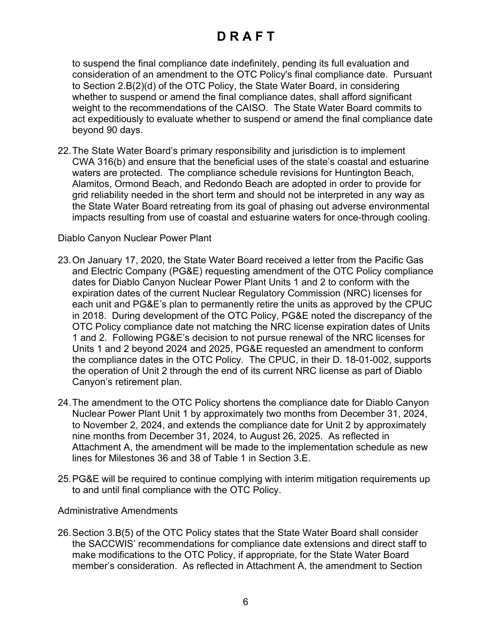to suspend the final compliance date indefinitely, pending its full evaluation and consideration of an amendment to the OTC Policy's final compliance date. Pursuant to Section 2.B(2)(d) of the OTC Policy, the State Water Board, in considering whether to suspend or amend the final compliance dates, shall afford significant weight to the recommendations of the CAISO. The State Water Board commits to act expeditiously to evaluate whether to suspend or amend the final compliance date beyond 90 days.

22.The State Water Board's primary responsibility and jurisdiction is to implement CWA 316(b) and ensure that the beneficial uses of the state's coastal and estuarine waters are protected. The compliance schedule revisions for Huntington Beach, Alamitos, Ormond Beach, and Redondo Beach are adopted in order to provide for grid reliability needed in the short term and should not be interpreted in any way as the State Water Board retreating from its goal of phasing out adverse environmental impacts resulting from use of coastal and estuarine waters for once-through cooling.

#### Diablo Canyon Nuclear Power Plant

- 23.On January 17, 2020, the State Water Board received a letter from the Pacific Gas and Electric Company (PG&E) requesting amendment of the OTC Policy compliance dates for Diablo Canyon Nuclear Power Plant Units 1 and 2 to conform with the expiration dates of the current Nuclear Regulatory Commission (NRC) licenses for each unit and PG&E's plan to permanently retire the units as approved by the CPUC in 2018. During development of the OTC Policy, PG&E noted the discrepancy of the OTC Policy compliance date not matching the NRC license expiration dates of Units 1 and 2. Following PG&E's decision to not pursue renewal of the NRC licenses for Units 1 and 2 beyond 2024 and 2025, PG&E requested an amendment to conform the compliance dates in the OTC Policy. The CPUC, in their D. 18-01-002, supports the operation of Unit 2 through the end of its current NRC license as part of Diablo Canyon's retirement plan.
- 24.The amendment to the OTC Policy shortens the compliance date for Diablo Canyon Nuclear Power Plant Unit 1 by approximately two months from December 31, 2024, to November 2, 2024, and extends the compliance date for Unit 2 by approximately nine months from December 31, 2024, to August 26, 2025. As reflected in Attachment A, the amendment will be made to the implementation schedule as new lines for Milestones 36 and 38 of Table 1 in Section 3.E.
- 25.PG&E will be required to continue complying with interim mitigation requirements up to and until final compliance with the OTC Policy.

#### Administrative Amendments

26.Section 3.B(5) of the OTC Policy states that the State Water Board shall consider the SACCWIS' recommendations for compliance date extensions and direct staff to make modifications to the OTC Policy, if appropriate, for the State Water Board member's consideration. As reflected in Attachment A, the amendment to Section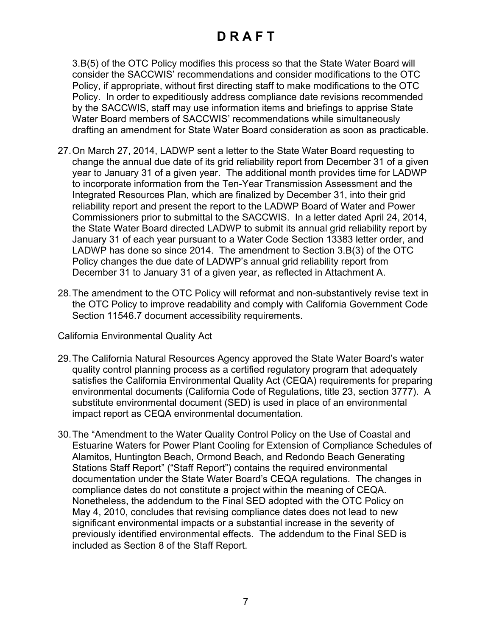3.B(5) of the OTC Policy modifies this process so that the State Water Board will consider the SACCWIS' recommendations and consider modifications to the OTC Policy, if appropriate, without first directing staff to make modifications to the OTC Policy. In order to expeditiously address compliance date revisions recommended by the SACCWIS, staff may use information items and briefings to apprise State Water Board members of SACCWIS' recommendations while simultaneously drafting an amendment for State Water Board consideration as soon as practicable.

- 27.On March 27, 2014, LADWP sent a letter to the State Water Board requesting to change the annual due date of its grid reliability report from December 31 of a given year to January 31 of a given year. The additional month provides time for LADWP to incorporate information from the Ten-Year Transmission Assessment and the Integrated Resources Plan, which are finalized by December 31, into their grid reliability report and present the report to the LADWP Board of Water and Power Commissioners prior to submittal to the SACCWIS. In a letter dated April 24, 2014, the State Water Board directed LADWP to submit its annual grid reliability report by January 31 of each year pursuant to a Water Code Section 13383 letter order, and LADWP has done so since 2014. The amendment to Section 3.B(3) of the OTC Policy changes the due date of LADWP's annual grid reliability report from December 31 to January 31 of a given year, as reflected in Attachment A.
- 28.The amendment to the OTC Policy will reformat and non-substantively revise text in the OTC Policy to improve readability and comply with California Government Code Section 11546.7 document accessibility requirements.

California Environmental Quality Act

- 29.The California Natural Resources Agency approved the State Water Board's water quality control planning process as a certified regulatory program that adequately satisfies the California Environmental Quality Act (CEQA) requirements for preparing environmental documents (California Code of Regulations, title 23, section 3777). A substitute environmental document (SED) is used in place of an environmental impact report as CEQA environmental documentation.
- 30.The "Amendment to the Water Quality Control Policy on the Use of Coastal and Estuarine Waters for Power Plant Cooling for Extension of Compliance Schedules of Alamitos, Huntington Beach, Ormond Beach, and Redondo Beach Generating Stations Staff Report" ("Staff Report") contains the required environmental documentation under the State Water Board's CEQA regulations. The changes in compliance dates do not constitute a project within the meaning of CEQA. Nonetheless, the addendum to the Final SED adopted with the OTC Policy on May 4, 2010, concludes that revising compliance dates does not lead to new significant environmental impacts or a substantial increase in the severity of previously identified environmental effects. The addendum to the Final SED is included as Section 8 of the Staff Report.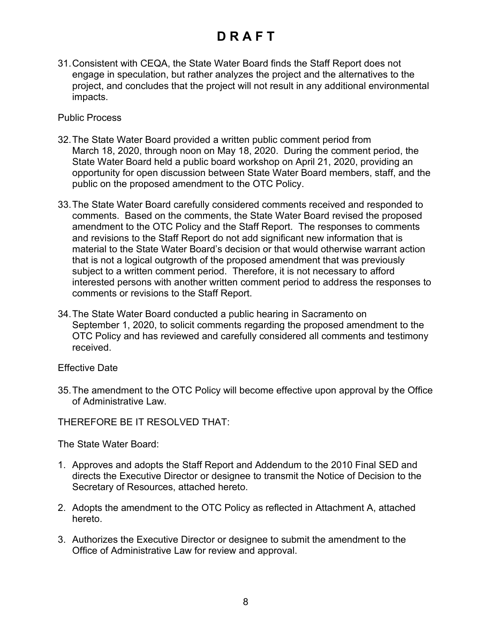31.Consistent with CEQA, the State Water Board finds the Staff Report does not engage in speculation, but rather analyzes the project and the alternatives to the project, and concludes that the project will not result in any additional environmental impacts.

Public Process

- 32.The State Water Board provided a written public comment period from March 18, 2020, through noon on May 18, 2020. During the comment period, the State Water Board held a public board workshop on April 21, 2020, providing an opportunity for open discussion between State Water Board members, staff, and the public on the proposed amendment to the OTC Policy.
- 33.The State Water Board carefully considered comments received and responded to comments. Based on the comments, the State Water Board revised the proposed amendment to the OTC Policy and the Staff Report. The responses to comments and revisions to the Staff Report do not add significant new information that is material to the State Water Board's decision or that would otherwise warrant action that is not a logical outgrowth of the proposed amendment that was previously subject to a written comment period. Therefore, it is not necessary to afford interested persons with another written comment period to address the responses to comments or revisions to the Staff Report.
- 34.The State Water Board conducted a public hearing in Sacramento on September 1, 2020, to solicit comments regarding the proposed amendment to the OTC Policy and has reviewed and carefully considered all comments and testimony received.

Effective Date

35.The amendment to the OTC Policy will become effective upon approval by the Office of Administrative Law.

THEREFORE BE IT RESOLVED THAT:

The State Water Board:

- 1. Approves and adopts the Staff Report and Addendum to the 2010 Final SED and directs the Executive Director or designee to transmit the Notice of Decision to the Secretary of Resources, attached hereto.
- 2. Adopts the amendment to the OTC Policy as reflected in Attachment A, attached hereto.
- 3. Authorizes the Executive Director or designee to submit the amendment to the Office of Administrative Law for review and approval.